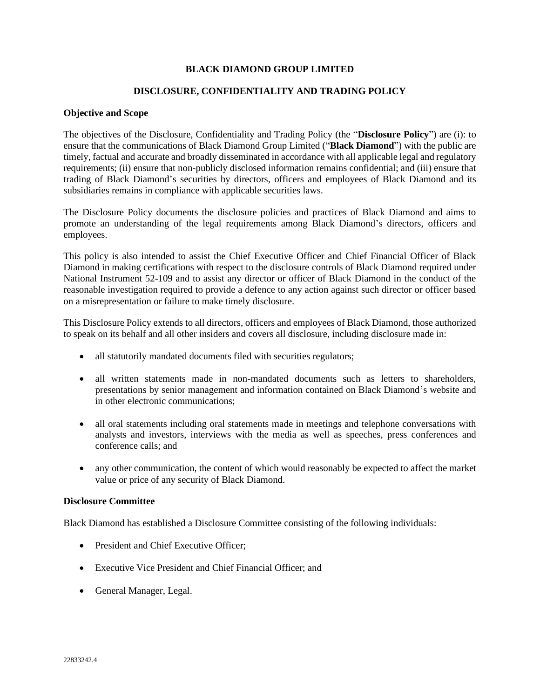# **BLACK DIAMOND GROUP LIMITED**

### **DISCLOSURE, CONFIDENTIALITY AND TRADING POLICY**

#### **Objective and Scope**

The objectives of the Disclosure, Confidentiality and Trading Policy (the "**Disclosure Policy**") are (i): to ensure that the communications of Black Diamond Group Limited ("**Black Diamond**") with the public are timely, factual and accurate and broadly disseminated in accordance with all applicable legal and regulatory requirements; (ii) ensure that non-publicly disclosed information remains confidential; and (iii) ensure that trading of Black Diamond's securities by directors, officers and employees of Black Diamond and its subsidiaries remains in compliance with applicable securities laws.

The Disclosure Policy documents the disclosure policies and practices of Black Diamond and aims to promote an understanding of the legal requirements among Black Diamond's directors, officers and employees.

This policy is also intended to assist the Chief Executive Officer and Chief Financial Officer of Black Diamond in making certifications with respect to the disclosure controls of Black Diamond required under National Instrument 52-109 and to assist any director or officer of Black Diamond in the conduct of the reasonable investigation required to provide a defence to any action against such director or officer based on a misrepresentation or failure to make timely disclosure.

This Disclosure Policy extends to all directors, officers and employees of Black Diamond, those authorized to speak on its behalf and all other insiders and covers all disclosure, including disclosure made in:

- all statutorily mandated documents filed with securities regulators;
- all written statements made in non-mandated documents such as letters to shareholders, presentations by senior management and information contained on Black Diamond's website and in other electronic communications;
- all oral statements including oral statements made in meetings and telephone conversations with analysts and investors, interviews with the media as well as speeches, press conferences and conference calls; and
- any other communication, the content of which would reasonably be expected to affect the market value or price of any security of Black Diamond.

### **Disclosure Committee**

Black Diamond has established a Disclosure Committee consisting of the following individuals:

- President and Chief Executive Officer:
- Executive Vice President and Chief Financial Officer; and
- General Manager, Legal.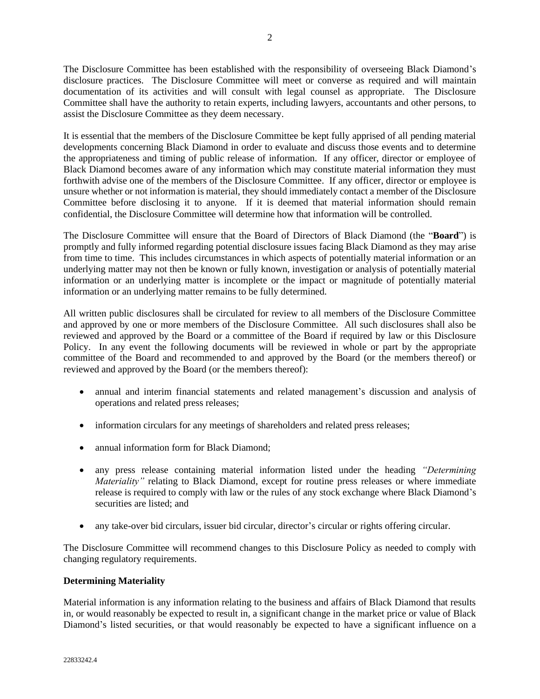The Disclosure Committee has been established with the responsibility of overseeing Black Diamond's disclosure practices. The Disclosure Committee will meet or converse as required and will maintain documentation of its activities and will consult with legal counsel as appropriate. The Disclosure Committee shall have the authority to retain experts, including lawyers, accountants and other persons, to assist the Disclosure Committee as they deem necessary.

It is essential that the members of the Disclosure Committee be kept fully apprised of all pending material developments concerning Black Diamond in order to evaluate and discuss those events and to determine the appropriateness and timing of public release of information. If any officer, director or employee of Black Diamond becomes aware of any information which may constitute material information they must forthwith advise one of the members of the Disclosure Committee. If any officer, director or employee is unsure whether or not information is material, they should immediately contact a member of the Disclosure Committee before disclosing it to anyone. If it is deemed that material information should remain confidential, the Disclosure Committee will determine how that information will be controlled.

The Disclosure Committee will ensure that the Board of Directors of Black Diamond (the "**Board**") is promptly and fully informed regarding potential disclosure issues facing Black Diamond as they may arise from time to time. This includes circumstances in which aspects of potentially material information or an underlying matter may not then be known or fully known, investigation or analysis of potentially material information or an underlying matter is incomplete or the impact or magnitude of potentially material information or an underlying matter remains to be fully determined.

All written public disclosures shall be circulated for review to all members of the Disclosure Committee and approved by one or more members of the Disclosure Committee. All such disclosures shall also be reviewed and approved by the Board or a committee of the Board if required by law or this Disclosure Policy. In any event the following documents will be reviewed in whole or part by the appropriate committee of the Board and recommended to and approved by the Board (or the members thereof) or reviewed and approved by the Board (or the members thereof):

- annual and interim financial statements and related management's discussion and analysis of operations and related press releases;
- information circulars for any meetings of shareholders and related press releases;
- annual information form for Black Diamond;
- any press release containing material information listed under the heading *"Determining Materiality*" relating to Black Diamond, except for routine press releases or where immediate release is required to comply with law or the rules of any stock exchange where Black Diamond's securities are listed; and
- any take-over bid circulars, issuer bid circular, director's circular or rights offering circular.

The Disclosure Committee will recommend changes to this Disclosure Policy as needed to comply with changing regulatory requirements.

# **Determining Materiality**

Material information is any information relating to the business and affairs of Black Diamond that results in, or would reasonably be expected to result in, a significant change in the market price or value of Black Diamond's listed securities, or that would reasonably be expected to have a significant influence on a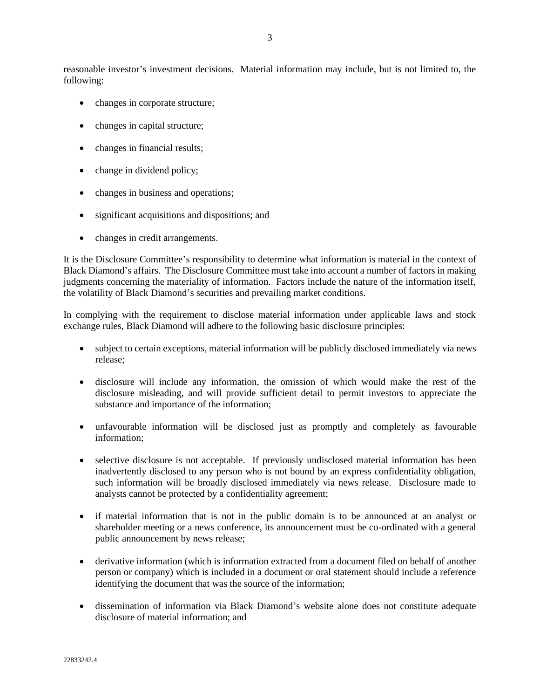reasonable investor's investment decisions. Material information may include, but is not limited to, the following:

- changes in corporate structure;
- changes in capital structure;
- changes in financial results;
- change in dividend policy;
- changes in business and operations;
- significant acquisitions and dispositions; and
- changes in credit arrangements.

It is the Disclosure Committee's responsibility to determine what information is material in the context of Black Diamond's affairs. The Disclosure Committee must take into account a number of factors in making judgments concerning the materiality of information. Factors include the nature of the information itself, the volatility of Black Diamond's securities and prevailing market conditions.

In complying with the requirement to disclose material information under applicable laws and stock exchange rules, Black Diamond will adhere to the following basic disclosure principles:

- subject to certain exceptions, material information will be publicly disclosed immediately via news release;
- disclosure will include any information, the omission of which would make the rest of the disclosure misleading, and will provide sufficient detail to permit investors to appreciate the substance and importance of the information;
- unfavourable information will be disclosed just as promptly and completely as favourable information;
- selective disclosure is not acceptable. If previously undisclosed material information has been inadvertently disclosed to any person who is not bound by an express confidentiality obligation, such information will be broadly disclosed immediately via news release. Disclosure made to analysts cannot be protected by a confidentiality agreement;
- if material information that is not in the public domain is to be announced at an analyst or shareholder meeting or a news conference, its announcement must be co-ordinated with a general public announcement by news release;
- derivative information (which is information extracted from a document filed on behalf of another person or company) which is included in a document or oral statement should include a reference identifying the document that was the source of the information;
- dissemination of information via Black Diamond's website alone does not constitute adequate disclosure of material information; and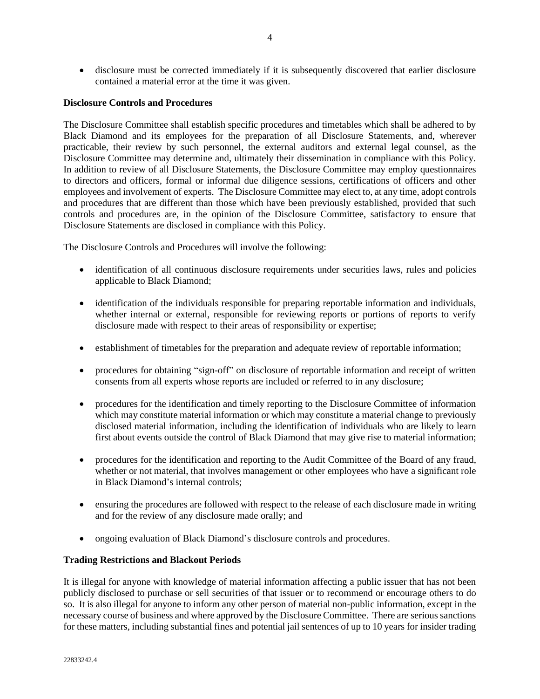• disclosure must be corrected immediately if it is subsequently discovered that earlier disclosure contained a material error at the time it was given.

### **Disclosure Controls and Procedures**

The Disclosure Committee shall establish specific procedures and timetables which shall be adhered to by Black Diamond and its employees for the preparation of all Disclosure Statements, and, wherever practicable, their review by such personnel, the external auditors and external legal counsel, as the Disclosure Committee may determine and, ultimately their dissemination in compliance with this Policy. In addition to review of all Disclosure Statements, the Disclosure Committee may employ questionnaires to directors and officers, formal or informal due diligence sessions, certifications of officers and other employees and involvement of experts. The Disclosure Committee may elect to, at any time, adopt controls and procedures that are different than those which have been previously established, provided that such controls and procedures are, in the opinion of the Disclosure Committee, satisfactory to ensure that Disclosure Statements are disclosed in compliance with this Policy.

The Disclosure Controls and Procedures will involve the following:

- identification of all continuous disclosure requirements under securities laws, rules and policies applicable to Black Diamond;
- identification of the individuals responsible for preparing reportable information and individuals, whether internal or external, responsible for reviewing reports or portions of reports to verify disclosure made with respect to their areas of responsibility or expertise;
- establishment of timetables for the preparation and adequate review of reportable information;
- procedures for obtaining "sign-off" on disclosure of reportable information and receipt of written consents from all experts whose reports are included or referred to in any disclosure;
- procedures for the identification and timely reporting to the Disclosure Committee of information which may constitute material information or which may constitute a material change to previously disclosed material information, including the identification of individuals who are likely to learn first about events outside the control of Black Diamond that may give rise to material information;
- procedures for the identification and reporting to the Audit Committee of the Board of any fraud, whether or not material, that involves management or other employees who have a significant role in Black Diamond's internal controls;
- ensuring the procedures are followed with respect to the release of each disclosure made in writing and for the review of any disclosure made orally; and
- ongoing evaluation of Black Diamond's disclosure controls and procedures.

### **Trading Restrictions and Blackout Periods**

It is illegal for anyone with knowledge of material information affecting a public issuer that has not been publicly disclosed to purchase or sell securities of that issuer or to recommend or encourage others to do so. It is also illegal for anyone to inform any other person of material non-public information, except in the necessary course of business and where approved by the Disclosure Committee. There are serious sanctions for these matters, including substantial fines and potential jail sentences of up to 10 years for insider trading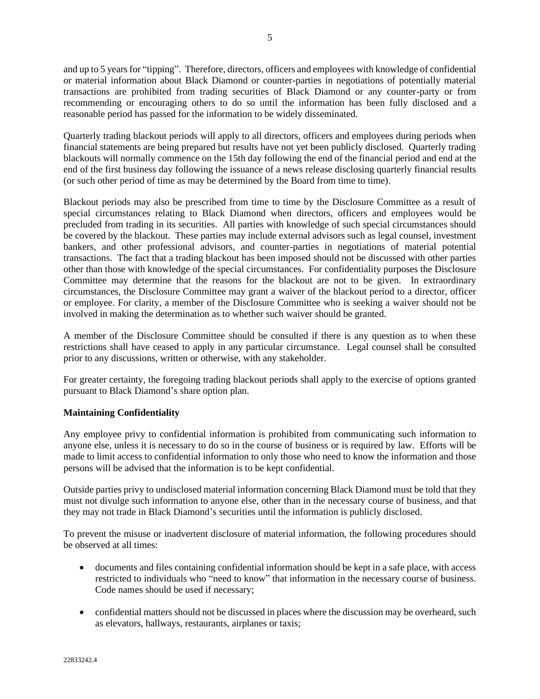and up to 5 years for "tipping". Therefore, directors, officers and employees with knowledge of confidential or material information about Black Diamond or counter-parties in negotiations of potentially material transactions are prohibited from trading securities of Black Diamond or any counter-party or from recommending or encouraging others to do so until the information has been fully disclosed and a reasonable period has passed for the information to be widely disseminated.

Quarterly trading blackout periods will apply to all directors, officers and employees during periods when financial statements are being prepared but results have not yet been publicly disclosed. Quarterly trading blackouts will normally commence on the 15th day following the end of the financial period and end at the end of the first business day following the issuance of a news release disclosing quarterly financial results (or such other period of time as may be determined by the Board from time to time).

Blackout periods may also be prescribed from time to time by the Disclosure Committee as a result of special circumstances relating to Black Diamond when directors, officers and employees would be precluded from trading in its securities. All parties with knowledge of such special circumstances should be covered by the blackout. These parties may include external advisors such as legal counsel, investment bankers, and other professional advisors, and counter-parties in negotiations of material potential transactions. The fact that a trading blackout has been imposed should not be discussed with other parties other than those with knowledge of the special circumstances. For confidentiality purposes the Disclosure Committee may determine that the reasons for the blackout are not to be given. In extraordinary circumstances, the Disclosure Committee may grant a waiver of the blackout period to a director, officer or employee. For clarity, a member of the Disclosure Committee who is seeking a waiver should not be involved in making the determination as to whether such waiver should be granted.

A member of the Disclosure Committee should be consulted if there is any question as to when these restrictions shall have ceased to apply in any particular circumstance. Legal counsel shall be consulted prior to any discussions, written or otherwise, with any stakeholder.

For greater certainty, the foregoing trading blackout periods shall apply to the exercise of options granted pursuant to Black Diamond's share option plan.

# **Maintaining Confidentiality**

Any employee privy to confidential information is prohibited from communicating such information to anyone else, unless it is necessary to do so in the course of business or is required by law. Efforts will be made to limit access to confidential information to only those who need to know the information and those persons will be advised that the information is to be kept confidential.

Outside parties privy to undisclosed material information concerning Black Diamond must be told that they must not divulge such information to anyone else, other than in the necessary course of business, and that they may not trade in Black Diamond's securities until the information is publicly disclosed.

To prevent the misuse or inadvertent disclosure of material information, the following procedures should be observed at all times:

- documents and files containing confidential information should be kept in a safe place, with access restricted to individuals who "need to know" that information in the necessary course of business. Code names should be used if necessary;
- confidential matters should not be discussed in places where the discussion may be overheard, such as elevators, hallways, restaurants, airplanes or taxis;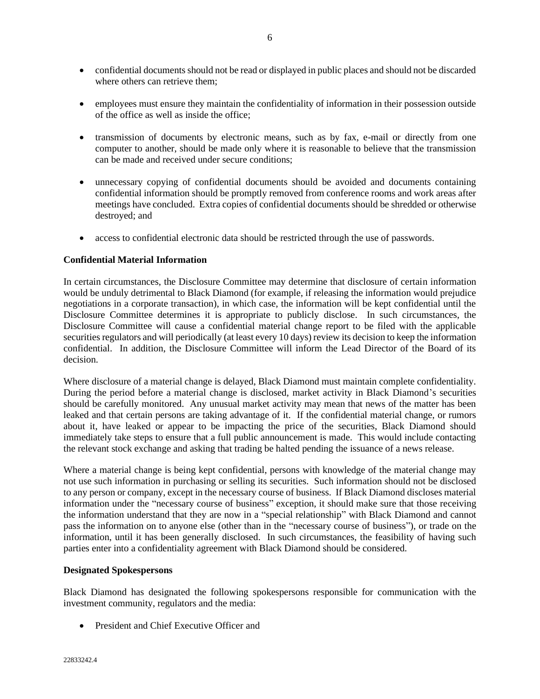- confidential documents should not be read or displayed in public places and should not be discarded where others can retrieve them;
- employees must ensure they maintain the confidentiality of information in their possession outside of the office as well as inside the office;
- transmission of documents by electronic means, such as by fax, e-mail or directly from one computer to another, should be made only where it is reasonable to believe that the transmission can be made and received under secure conditions;
- unnecessary copying of confidential documents should be avoided and documents containing confidential information should be promptly removed from conference rooms and work areas after meetings have concluded. Extra copies of confidential documents should be shredded or otherwise destroyed; and
- access to confidential electronic data should be restricted through the use of passwords.

# **Confidential Material Information**

In certain circumstances, the Disclosure Committee may determine that disclosure of certain information would be unduly detrimental to Black Diamond (for example, if releasing the information would prejudice negotiations in a corporate transaction), in which case, the information will be kept confidential until the Disclosure Committee determines it is appropriate to publicly disclose. In such circumstances, the Disclosure Committee will cause a confidential material change report to be filed with the applicable securities regulators and will periodically (at least every 10 days) review its decision to keep the information confidential. In addition, the Disclosure Committee will inform the Lead Director of the Board of its decision.

Where disclosure of a material change is delayed, Black Diamond must maintain complete confidentiality. During the period before a material change is disclosed, market activity in Black Diamond's securities should be carefully monitored. Any unusual market activity may mean that news of the matter has been leaked and that certain persons are taking advantage of it. If the confidential material change, or rumors about it, have leaked or appear to be impacting the price of the securities, Black Diamond should immediately take steps to ensure that a full public announcement is made. This would include contacting the relevant stock exchange and asking that trading be halted pending the issuance of a news release.

Where a material change is being kept confidential, persons with knowledge of the material change may not use such information in purchasing or selling its securities. Such information should not be disclosed to any person or company, except in the necessary course of business. If Black Diamond discloses material information under the "necessary course of business" exception, it should make sure that those receiving the information understand that they are now in a "special relationship" with Black Diamond and cannot pass the information on to anyone else (other than in the "necessary course of business"), or trade on the information, until it has been generally disclosed. In such circumstances, the feasibility of having such parties enter into a confidentiality agreement with Black Diamond should be considered.

### **Designated Spokespersons**

Black Diamond has designated the following spokespersons responsible for communication with the investment community, regulators and the media:

• President and Chief Executive Officer and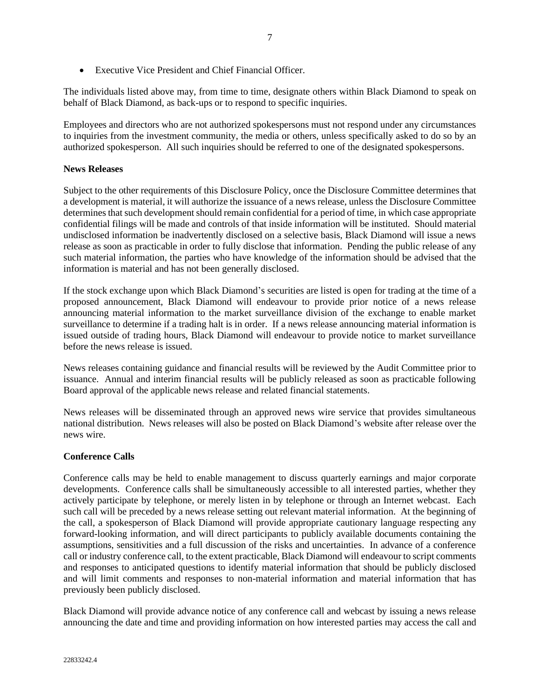• Executive Vice President and Chief Financial Officer.

The individuals listed above may, from time to time, designate others within Black Diamond to speak on behalf of Black Diamond, as back-ups or to respond to specific inquiries.

Employees and directors who are not authorized spokespersons must not respond under any circumstances to inquiries from the investment community, the media or others, unless specifically asked to do so by an authorized spokesperson. All such inquiries should be referred to one of the designated spokespersons.

# **News Releases**

Subject to the other requirements of this Disclosure Policy, once the Disclosure Committee determines that a development is material, it will authorize the issuance of a news release, unless the Disclosure Committee determines that such development should remain confidential for a period of time, in which case appropriate confidential filings will be made and controls of that inside information will be instituted. Should material undisclosed information be inadvertently disclosed on a selective basis, Black Diamond will issue a news release as soon as practicable in order to fully disclose that information. Pending the public release of any such material information, the parties who have knowledge of the information should be advised that the information is material and has not been generally disclosed.

If the stock exchange upon which Black Diamond's securities are listed is open for trading at the time of a proposed announcement, Black Diamond will endeavour to provide prior notice of a news release announcing material information to the market surveillance division of the exchange to enable market surveillance to determine if a trading halt is in order. If a news release announcing material information is issued outside of trading hours, Black Diamond will endeavour to provide notice to market surveillance before the news release is issued.

News releases containing guidance and financial results will be reviewed by the Audit Committee prior to issuance. Annual and interim financial results will be publicly released as soon as practicable following Board approval of the applicable news release and related financial statements.

News releases will be disseminated through an approved news wire service that provides simultaneous national distribution. News releases will also be posted on Black Diamond's website after release over the news wire.

# **Conference Calls**

Conference calls may be held to enable management to discuss quarterly earnings and major corporate developments. Conference calls shall be simultaneously accessible to all interested parties, whether they actively participate by telephone, or merely listen in by telephone or through an Internet webcast. Each such call will be preceded by a news release setting out relevant material information. At the beginning of the call, a spokesperson of Black Diamond will provide appropriate cautionary language respecting any forward-looking information, and will direct participants to publicly available documents containing the assumptions, sensitivities and a full discussion of the risks and uncertainties. In advance of a conference call or industry conference call, to the extent practicable, Black Diamond will endeavour to script comments and responses to anticipated questions to identify material information that should be publicly disclosed and will limit comments and responses to non-material information and material information that has previously been publicly disclosed.

Black Diamond will provide advance notice of any conference call and webcast by issuing a news release announcing the date and time and providing information on how interested parties may access the call and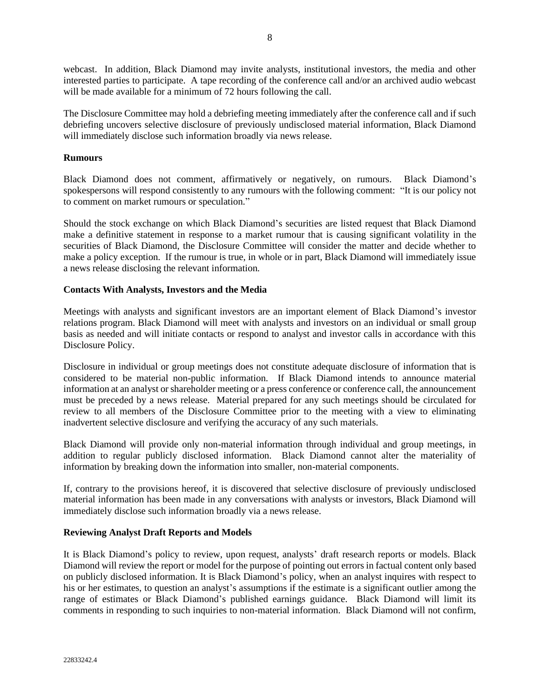webcast. In addition, Black Diamond may invite analysts, institutional investors, the media and other interested parties to participate. A tape recording of the conference call and/or an archived audio webcast will be made available for a minimum of 72 hours following the call.

The Disclosure Committee may hold a debriefing meeting immediately after the conference call and if such debriefing uncovers selective disclosure of previously undisclosed material information, Black Diamond will immediately disclose such information broadly via news release.

# **Rumours**

Black Diamond does not comment, affirmatively or negatively, on rumours. Black Diamond's spokespersons will respond consistently to any rumours with the following comment: "It is our policy not to comment on market rumours or speculation."

Should the stock exchange on which Black Diamond's securities are listed request that Black Diamond make a definitive statement in response to a market rumour that is causing significant volatility in the securities of Black Diamond, the Disclosure Committee will consider the matter and decide whether to make a policy exception. If the rumour is true, in whole or in part, Black Diamond will immediately issue a news release disclosing the relevant information.

# **Contacts With Analysts, Investors and the Media**

Meetings with analysts and significant investors are an important element of Black Diamond's investor relations program. Black Diamond will meet with analysts and investors on an individual or small group basis as needed and will initiate contacts or respond to analyst and investor calls in accordance with this Disclosure Policy.

Disclosure in individual or group meetings does not constitute adequate disclosure of information that is considered to be material non-public information. If Black Diamond intends to announce material information at an analyst or shareholder meeting or a press conference or conference call, the announcement must be preceded by a news release. Material prepared for any such meetings should be circulated for review to all members of the Disclosure Committee prior to the meeting with a view to eliminating inadvertent selective disclosure and verifying the accuracy of any such materials.

Black Diamond will provide only non-material information through individual and group meetings, in addition to regular publicly disclosed information. Black Diamond cannot alter the materiality of information by breaking down the information into smaller, non-material components.

If, contrary to the provisions hereof, it is discovered that selective disclosure of previously undisclosed material information has been made in any conversations with analysts or investors, Black Diamond will immediately disclose such information broadly via a news release.

# **Reviewing Analyst Draft Reports and Models**

It is Black Diamond's policy to review, upon request, analysts' draft research reports or models. Black Diamond will review the report or model for the purpose of pointing out errors in factual content only based on publicly disclosed information. It is Black Diamond's policy, when an analyst inquires with respect to his or her estimates, to question an analyst's assumptions if the estimate is a significant outlier among the range of estimates or Black Diamond's published earnings guidance. Black Diamond will limit its comments in responding to such inquiries to non-material information. Black Diamond will not confirm,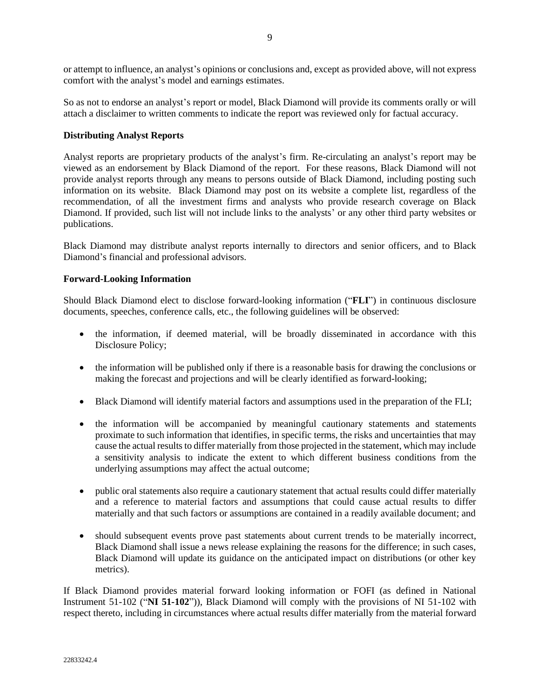or attempt to influence, an analyst's opinions or conclusions and, except as provided above, will not express comfort with the analyst's model and earnings estimates.

So as not to endorse an analyst's report or model, Black Diamond will provide its comments orally or will attach a disclaimer to written comments to indicate the report was reviewed only for factual accuracy.

### **Distributing Analyst Reports**

Analyst reports are proprietary products of the analyst's firm. Re-circulating an analyst's report may be viewed as an endorsement by Black Diamond of the report. For these reasons, Black Diamond will not provide analyst reports through any means to persons outside of Black Diamond, including posting such information on its website. Black Diamond may post on its website a complete list, regardless of the recommendation, of all the investment firms and analysts who provide research coverage on Black Diamond. If provided, such list will not include links to the analysts' or any other third party websites or publications.

Black Diamond may distribute analyst reports internally to directors and senior officers, and to Black Diamond's financial and professional advisors.

# **Forward-Looking Information**

Should Black Diamond elect to disclose forward-looking information ("**FLI**") in continuous disclosure documents, speeches, conference calls, etc., the following guidelines will be observed:

- the information, if deemed material, will be broadly disseminated in accordance with this Disclosure Policy;
- the information will be published only if there is a reasonable basis for drawing the conclusions or making the forecast and projections and will be clearly identified as forward-looking;
- Black Diamond will identify material factors and assumptions used in the preparation of the FLI;
- the information will be accompanied by meaningful cautionary statements and statements proximate to such information that identifies, in specific terms, the risks and uncertainties that may cause the actual results to differ materially from those projected in the statement, which may include a sensitivity analysis to indicate the extent to which different business conditions from the underlying assumptions may affect the actual outcome;
- public oral statements also require a cautionary statement that actual results could differ materially and a reference to material factors and assumptions that could cause actual results to differ materially and that such factors or assumptions are contained in a readily available document; and
- should subsequent events prove past statements about current trends to be materially incorrect, Black Diamond shall issue a news release explaining the reasons for the difference; in such cases, Black Diamond will update its guidance on the anticipated impact on distributions (or other key metrics).

If Black Diamond provides material forward looking information or FOFI (as defined in National Instrument 51-102 ("**NI 51-102**")), Black Diamond will comply with the provisions of NI 51-102 with respect thereto, including in circumstances where actual results differ materially from the material forward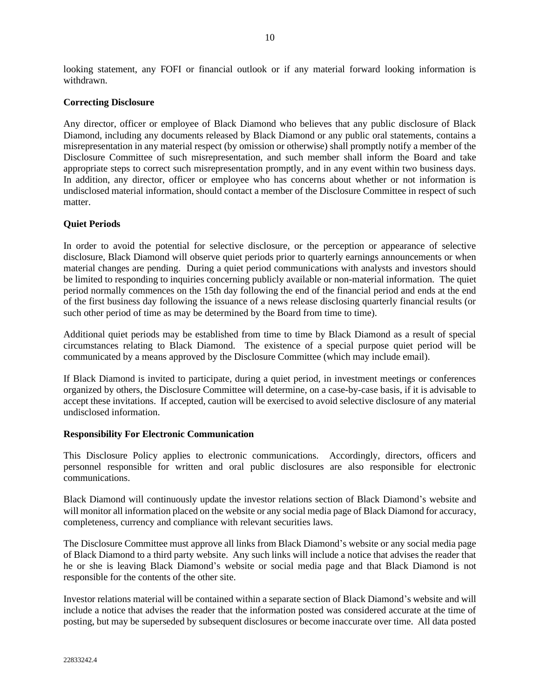looking statement, any FOFI or financial outlook or if any material forward looking information is withdrawn.

### **Correcting Disclosure**

Any director, officer or employee of Black Diamond who believes that any public disclosure of Black Diamond, including any documents released by Black Diamond or any public oral statements, contains a misrepresentation in any material respect (by omission or otherwise) shall promptly notify a member of the Disclosure Committee of such misrepresentation, and such member shall inform the Board and take appropriate steps to correct such misrepresentation promptly, and in any event within two business days. In addition, any director, officer or employee who has concerns about whether or not information is undisclosed material information, should contact a member of the Disclosure Committee in respect of such matter.

# **Quiet Periods**

In order to avoid the potential for selective disclosure, or the perception or appearance of selective disclosure, Black Diamond will observe quiet periods prior to quarterly earnings announcements or when material changes are pending. During a quiet period communications with analysts and investors should be limited to responding to inquiries concerning publicly available or non-material information. The quiet period normally commences on the 15th day following the end of the financial period and ends at the end of the first business day following the issuance of a news release disclosing quarterly financial results (or such other period of time as may be determined by the Board from time to time).

Additional quiet periods may be established from time to time by Black Diamond as a result of special circumstances relating to Black Diamond. The existence of a special purpose quiet period will be communicated by a means approved by the Disclosure Committee (which may include email).

If Black Diamond is invited to participate, during a quiet period, in investment meetings or conferences organized by others, the Disclosure Committee will determine, on a case-by-case basis, if it is advisable to accept these invitations. If accepted, caution will be exercised to avoid selective disclosure of any material undisclosed information.

### **Responsibility For Electronic Communication**

This Disclosure Policy applies to electronic communications. Accordingly, directors, officers and personnel responsible for written and oral public disclosures are also responsible for electronic communications.

Black Diamond will continuously update the investor relations section of Black Diamond's website and will monitor all information placed on the website or any social media page of Black Diamond for accuracy, completeness, currency and compliance with relevant securities laws.

The Disclosure Committee must approve all links from Black Diamond's website or any social media page of Black Diamond to a third party website. Any such links will include a notice that advises the reader that he or she is leaving Black Diamond's website or social media page and that Black Diamond is not responsible for the contents of the other site.

Investor relations material will be contained within a separate section of Black Diamond's website and will include a notice that advises the reader that the information posted was considered accurate at the time of posting, but may be superseded by subsequent disclosures or become inaccurate over time. All data posted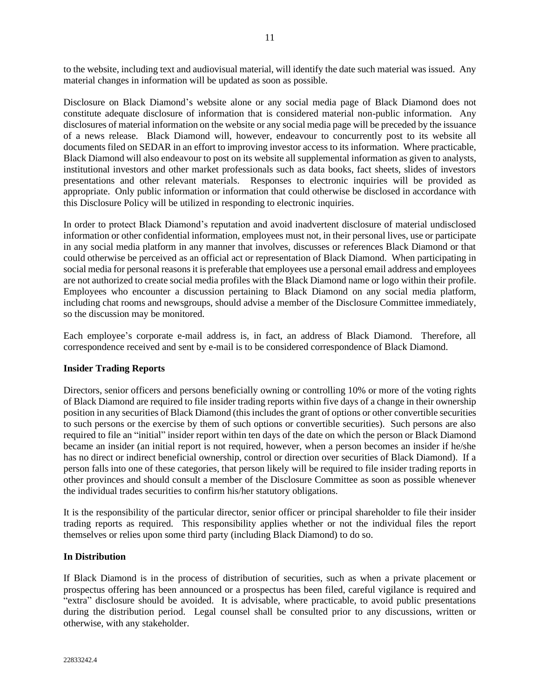to the website, including text and audiovisual material, will identify the date such material was issued. Any material changes in information will be updated as soon as possible.

Disclosure on Black Diamond's website alone or any social media page of Black Diamond does not constitute adequate disclosure of information that is considered material non-public information. Any disclosures of material information on the website or any social media page will be preceded by the issuance of a news release. Black Diamond will, however, endeavour to concurrently post to its website all documents filed on SEDAR in an effort to improving investor access to its information. Where practicable, Black Diamond will also endeavour to post on its website all supplemental information as given to analysts, institutional investors and other market professionals such as data books, fact sheets, slides of investors presentations and other relevant materials. Responses to electronic inquiries will be provided as appropriate. Only public information or information that could otherwise be disclosed in accordance with this Disclosure Policy will be utilized in responding to electronic inquiries.

In order to protect Black Diamond's reputation and avoid inadvertent disclosure of material undisclosed information or other confidential information, employees must not, in their personal lives, use or participate in any social media platform in any manner that involves, discusses or references Black Diamond or that could otherwise be perceived as an official act or representation of Black Diamond. When participating in social media for personal reasons it is preferable that employees use a personal email address and employees are not authorized to create social media profiles with the Black Diamond name or logo within their profile. Employees who encounter a discussion pertaining to Black Diamond on any social media platform, including chat rooms and newsgroups, should advise a member of the Disclosure Committee immediately, so the discussion may be monitored.

Each employee's corporate e-mail address is, in fact, an address of Black Diamond. Therefore, all correspondence received and sent by e-mail is to be considered correspondence of Black Diamond.

# **Insider Trading Reports**

Directors, senior officers and persons beneficially owning or controlling 10% or more of the voting rights of Black Diamond are required to file insider trading reports within five days of a change in their ownership position in any securities of Black Diamond (this includes the grant of options or other convertible securities to such persons or the exercise by them of such options or convertible securities). Such persons are also required to file an "initial" insider report within ten days of the date on which the person or Black Diamond became an insider (an initial report is not required, however, when a person becomes an insider if he/she has no direct or indirect beneficial ownership, control or direction over securities of Black Diamond). If a person falls into one of these categories, that person likely will be required to file insider trading reports in other provinces and should consult a member of the Disclosure Committee as soon as possible whenever the individual trades securities to confirm his/her statutory obligations.

It is the responsibility of the particular director, senior officer or principal shareholder to file their insider trading reports as required. This responsibility applies whether or not the individual files the report themselves or relies upon some third party (including Black Diamond) to do so.

### **In Distribution**

If Black Diamond is in the process of distribution of securities, such as when a private placement or prospectus offering has been announced or a prospectus has been filed, careful vigilance is required and "extra" disclosure should be avoided. It is advisable, where practicable, to avoid public presentations during the distribution period. Legal counsel shall be consulted prior to any discussions, written or otherwise, with any stakeholder.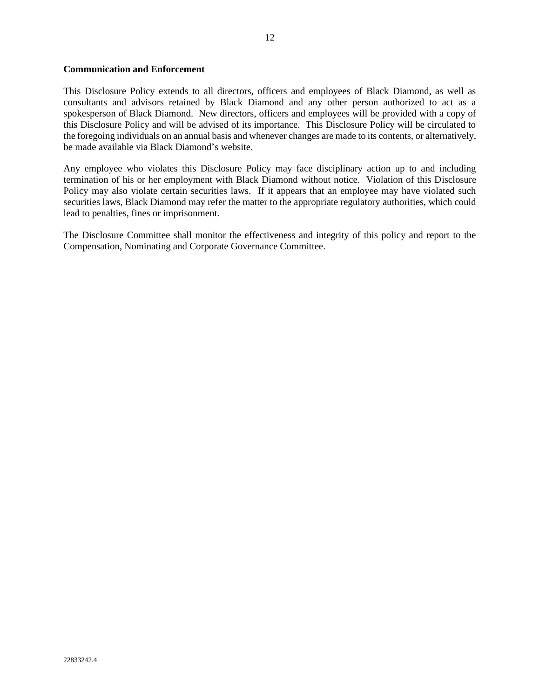### **Communication and Enforcement**

This Disclosure Policy extends to all directors, officers and employees of Black Diamond, as well as consultants and advisors retained by Black Diamond and any other person authorized to act as a spokesperson of Black Diamond. New directors, officers and employees will be provided with a copy of this Disclosure Policy and will be advised of its importance. This Disclosure Policy will be circulated to the foregoing individuals on an annual basis and whenever changes are made to its contents, or alternatively, be made available via Black Diamond's website.

Any employee who violates this Disclosure Policy may face disciplinary action up to and including termination of his or her employment with Black Diamond without notice. Violation of this Disclosure Policy may also violate certain securities laws. If it appears that an employee may have violated such securities laws, Black Diamond may refer the matter to the appropriate regulatory authorities, which could lead to penalties, fines or imprisonment.

The Disclosure Committee shall monitor the effectiveness and integrity of this policy and report to the Compensation, Nominating and Corporate Governance Committee.